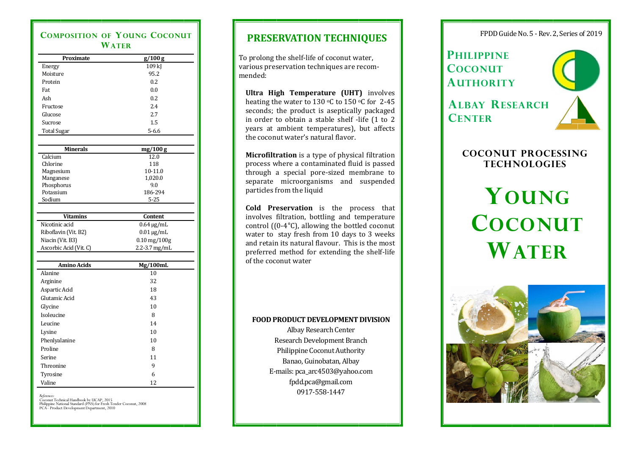### COMPOSITION OF YOUNG COCONUT **WATER**

| Proximate          | g/100g    |  |
|--------------------|-----------|--|
| Energy             | 109 kJ    |  |
| Moisture           | 95.2      |  |
| Protein            | 0.2       |  |
| Fat                | 0.0       |  |
| Ash                | 0.2       |  |
| Fructose           | 2.4       |  |
| Glucose            | 2.7       |  |
| Sucrose            | 1.5       |  |
| <b>Total Sugar</b> | $5 - 6.6$ |  |

| <b>Minerals</b>        | mg/100 g                              |  |  |
|------------------------|---------------------------------------|--|--|
| Calcium                | 12.0                                  |  |  |
| Chlorine               | 118                                   |  |  |
| Magnesium              | 10-11.0                               |  |  |
| Manganese              | 1,020.0                               |  |  |
| Phosphorus             | 9.0                                   |  |  |
| Potassium              | 186-294                               |  |  |
| Sodium                 | $5 - 25$                              |  |  |
|                        |                                       |  |  |
| <b>Vitamins</b>        | Content                               |  |  |
| Nicotinic acid         | $0.64 \,\mathrm{\upmu g/mL}$          |  |  |
| Riboflavin (Vit. B2)   | $0.01 \mu g/mL$                       |  |  |
| Niacin (Vit. B3)       | $0.10 \,\mathrm{mg}/100 \,\mathrm{g}$ |  |  |
| Ascorbic Acid (Vit. C) | $2.2 - 3.7$ mg/mL                     |  |  |
|                        |                                       |  |  |
| <b>Amino Acids</b>     | Mg/100mL                              |  |  |
| Alanine                | 10                                    |  |  |
| Arginine               | 32                                    |  |  |
| Aspartic Acid          | 18                                    |  |  |
| Glutamic Acid          | 43                                    |  |  |
| Glycine                | 10                                    |  |  |
| Isoleucine             | 8                                     |  |  |
| Leucine                | 14                                    |  |  |
| Lysine                 | 10                                    |  |  |
| Phenlyalanine          | 10                                    |  |  |
| Proline                | 8                                     |  |  |
| Serine                 | 11                                    |  |  |
| Threonine              | 9                                     |  |  |
| Tyrosine               | 6                                     |  |  |
| Valine                 | 12                                    |  |  |

*References:*<br>Coconut Technical Handbook by UCAP, 2015<br>Philippine National Standard (PNS) for Fresh Tender Coconut, 2008<br>PCA– Product Development Department, 2010

## PRESERVATION TECHNIQUES

To prolong the shelf-life of coconut water, various preservation techniques are recommended:

Ultra High Temperature (UHT) involves heating the water to 130  $\,^{\circ}$ C to 150  $\,^{\circ}$ C for 2-45 seconds; the product is aseptically packaged in order to obtain a stable shelf -life (1 to 2 years at ambient temperatures), but affects the coconut water's natural flavor.

Microfiltration is a type of physical filtration process where a contaminated fluid is passed through a special pore-sized membrane to separate microorganisms and suspended particles from the liquid

Cold Preservation is the process that involves filtration, bottling and temperature control ((0-4°C), allowing the bottled coconut water to stay fresh from 10 days to 3 weeks and retain its natural flavour. This is the most preferred method for extending the shelf-life of the coconut water

#### FOOD PRODUCT DEVELOPMENT DIVISION

Albay Research Center Research Development Branch Philippine Coconut Authority Banao, Guinobatan, Albay E-mails: pca\_arc4503@yahoo.com fpdd.pca@gmail.com 0917-558-1447

FPDD Guide No. 5 - Rev. 2, Series of 2019

# **PHILIPPINE COCONUT AUTHORITY**

**CENTER** 



### COCONUT PROCESSING **TECHNOLOGIES**

YOUNG **COCONUT WATER**